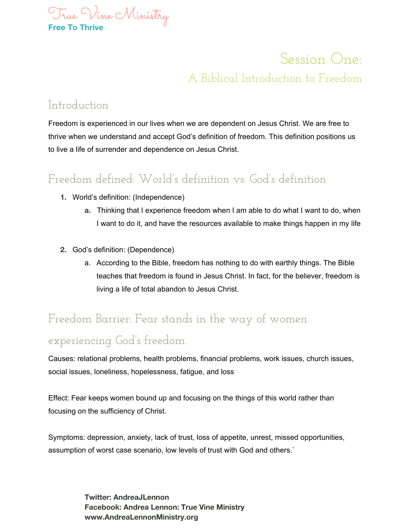

# Session One: A Biblical Introduction to Freedom

#### Introduction

Freedom is experienced in our lives when we are dependent on Jesus Christ. We are free to thrive when we understand and accept God's definition of freedom. This definition positions us to live a life of surrender and dependence on Jesus Christ.

### Freedom defined: World's definition vs. God's definition

- **1.** World's definition: (Independence)
	- **a.** Thinking that I experience freedom when I am able to do what I want to do, when I want to do it, and have the resources available to make things happen in my life
- **2.** God's definition: (Dependence)
	- a. According to the Bible, freedom has nothing to do with earthly things. The Bible teaches that freedom is found in Jesus Christ. In fact, for the believer, freedom is living a life of total abandon to Jesus Christ.

# Freedom Barrier: Fear stands in the way of women

#### experiencing God's freedom.

Causes: relational problems, health problems, financial problems, work issues, church issues, social issues, loneliness, hopelessness, fatigue, and loss

Effect: Fear keeps women bound up and focusing on the things of this world rather than focusing on the sufficiency of Christ.

Symptoms: depression, anxiety, lack of trust, loss of appetite, unrest, missed opportunities, assumption of worst case scenario, low levels of trust with God and others.`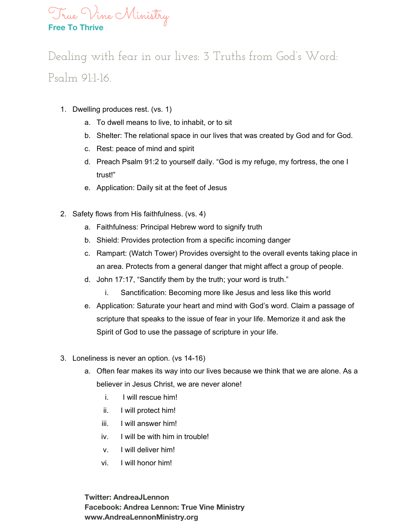

# Dealing with fear in our lives: 3 Truths from God's Word: Psalm 91:1-16.

- 1. Dwelling produces rest. (vs. 1)
	- a. To dwell means to live, to inhabit, or to sit
	- b. Shelter: The relational space in our lives that was created by God and for God.
	- c. Rest: peace of mind and spirit
	- d. Preach Psalm 91:2 to yourself daily. "God is my refuge, my fortress, the one I trust!"
	- e. Application: Daily sit at the feet of Jesus
- 2. Safety flows from His faithfulness. (vs. 4)
	- a. Faithfulness: Principal Hebrew word to signify truth
	- b. Shield: Provides protection from a specific incoming danger
	- c. Rampart: (Watch Tower) Provides oversight to the overall events taking place in an area. Protects from a general danger that might affect a group of people.
	- d. John 17:17, "Sanctify them by the truth; your word is truth."
		- i. Sanctification: Becoming more like Jesus and less like this world
	- e. Application: Saturate your heart and mind with God's word. Claim a passage of scripture that speaks to the issue of fear in your life. Memorize it and ask the Spirit of God to use the passage of scripture in your life.
- 3. Loneliness is never an option. (vs 14-16)
	- a. Often fear makes its way into our lives because we think that we are alone. As a believer in Jesus Christ, we are never alone!
		- i. I will rescue him!
		- ii. I will protect him!
		- iii. I will answer him!
		- iv. I will be with him in trouble!
		- v. I will deliver him!
		- vi. I will honor him!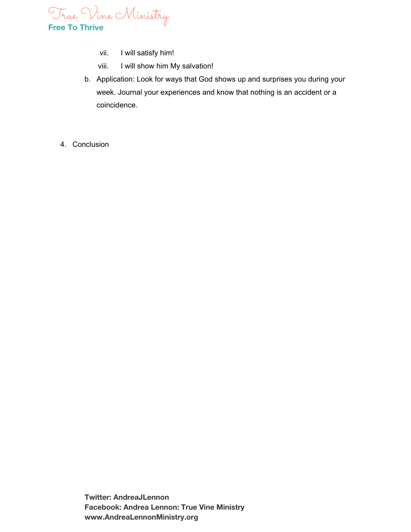

- vii. I will satisfy him!
- viii. I will show him My salvation!
- b. Application: Look for ways that God shows up and surprises you during your week. Journal your experiences and know that nothing is an accident or a coincidence.
- 4. Conclusion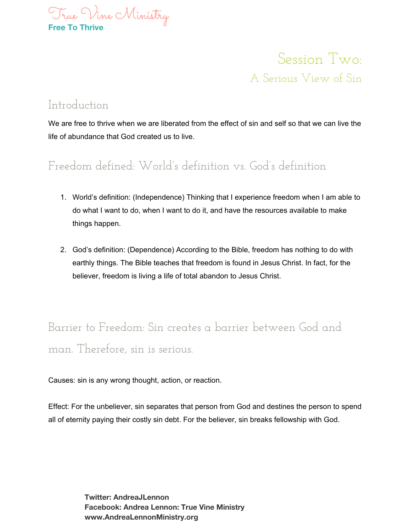

Session Two: A Serious View of Sin

#### Introduction

We are free to thrive when we are liberated from the effect of sin and self so that we can live the life of abundance that God created us to live.

#### Freedom defined: World's definition vs. God's definition

- 1. World's definition: (Independence) Thinking that I experience freedom when I am able to do what I want to do, when I want to do it, and have the resources available to make things happen.
- 2. God's definition: (Dependence) According to the Bible, freedom has nothing to do with earthly things. The Bible teaches that freedom is found in Jesus Christ. In fact, for the believer, freedom is living a life of total abandon to Jesus Christ.

## Barrier to Freedom: Sin creates a barrier between God and man. Therefore, sin is serious.

Causes: sin is any wrong thought, action, or reaction.

Effect: For the unbeliever, sin separates that person from God and destines the person to spend all of eternity paying their costly sin debt. For the believer, sin breaks fellowship with God.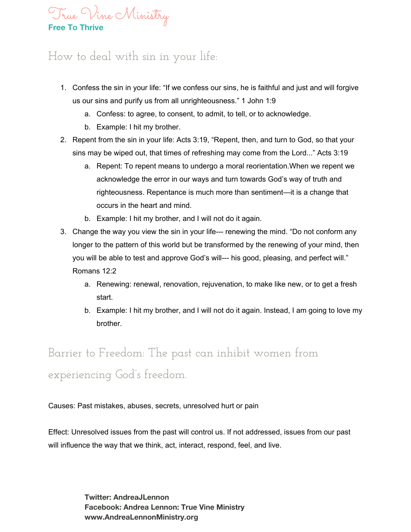

### How to deal with sin in your life:

- 1. Confess the sin in your life: "If we confess our sins, he is faithful and just and will forgive us our sins and purify us from all unrighteousness." 1 John 1:9
	- a. Confess: to agree, to consent, to admit, to tell, or to acknowledge.
	- b. Example: I hit my brother.
- 2. Repent from the sin in your life: Acts 3:19, "Repent, then, and turn to God, so that your sins may be wiped out, that times of refreshing may come from the Lord..." Acts 3:19
	- a. Repent: To repent means to undergo a moral reorientation.When we repent we acknowledge the error in our ways and turn towards God's way of truth and righteousness. Repentance is much more than sentiment—it is a change that occurs in the heart and mind.
	- b. Example: I hit my brother, and I will not do it again.
- 3. Change the way you view the sin in your life--- renewing the mind. "Do not conform any longer to the pattern of this world but be transformed by the renewing of your mind, then you will be able to test and approve God's will--- his good, pleasing, and perfect will." Romans 12:2
	- a. Renewing: renewal, renovation, rejuvenation, to make like new, or to get a fresh start.
	- b. Example: I hit my brother, and I will not do it again. Instead, I am going to love my brother.

# Barrier to Freedom: The past can inhibit women from experiencing God's freedom.

Causes: Past mistakes, abuses, secrets, unresolved hurt or pain

Effect: Unresolved issues from the past will control us. If not addressed, issues from our past will influence the way that we think, act, interact, respond, feel, and live.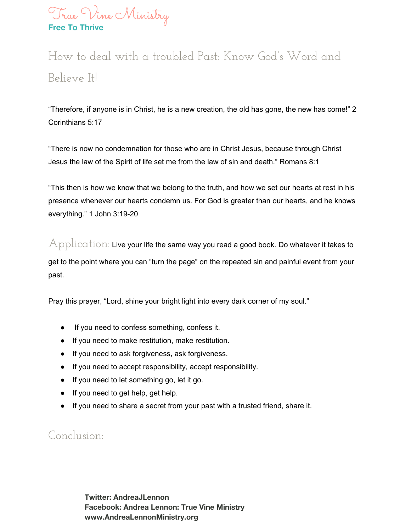

# How to deal with a troubled Past: Know God's Word and Believe It!

"Therefore, if anyone is in Christ, he is a new creation, the old has gone, the new has come!" 2 Corinthians 5:17

"There is now no condemnation for those who are in Christ Jesus, because through Christ Jesus the law of the Spirit of life set me from the law of sin and death." Romans 8:1

"This then is how we know that we belong to the truth, and how we set our hearts at rest in his presence whenever our hearts condemn us. For God is greater than our hearts, and he knows everything." 1 John 3:19-20

 $\operatorname{\mathbb{A}}$ pp $\operatorname{\mathbb{I}}$ ication: Live your life the same way you read a good book. Do whatever it takes to get to the point where you can "turn the page" on the repeated sin and painful event from your past.

Pray this prayer, "Lord, shine your bright light into every dark corner of my soul."

- If you need to confess something, confess it.
- If you need to make restitution, make restitution.
- If you need to ask forgiveness, ask forgiveness.
- If you need to accept responsibility, accept responsibility.
- If you need to let something go, let it go.
- If you need to get help, get help.
- If you need to share a secret from your past with a trusted friend, share it.

#### Conclusion: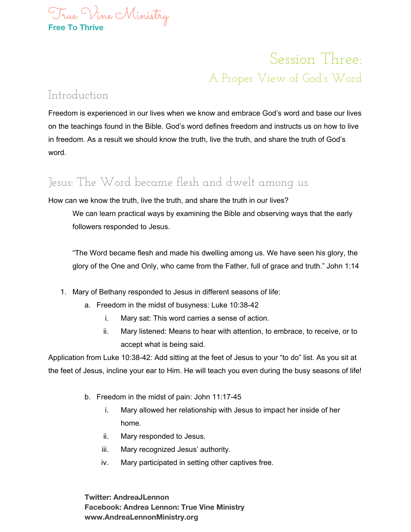

# Session Three: A Proper View of God's Word

#### Introduction

Freedom is experienced in our lives when we know and embrace God's word and base our lives on the teachings found in the Bible. God's word defines freedom and instructs us on how to live in freedom. As a result we should know the truth, live the truth, and share the truth of God's word.

### Jesus: The Word became flesh and dwelt among us.

How can we know the truth, live the truth, and share the truth in our lives?

We can learn practical ways by examining the Bible and observing ways that the early followers responded to Jesus.

"The Word became flesh and made his dwelling among us. We have seen his glory, the glory of the One and Only, who came from the Father, full of grace and truth." John 1:14

- 1. Mary of Bethany responded to Jesus in different seasons of life:
	- a. Freedom in the midst of busyness: Luke 10:38-42
		- i. Mary sat: This word carries a sense of action.
		- ii. Mary listened: Means to hear with attention, to embrace, to receive, or to accept what is being said.

Application from Luke 10:38-42: Add sitting at the feet of Jesus to your "to do" list. As you sit at the feet of Jesus, incline your ear to Him. He will teach you even during the busy seasons of life!

- b. Freedom in the midst of pain: John 11:17-45
	- i. Mary allowed her relationship with Jesus to impact her inside of her home.
	- ii. Mary responded to Jesus.
	- iii. Mary recognized Jesus' authority.
	- iv. Mary participated in setting other captives free.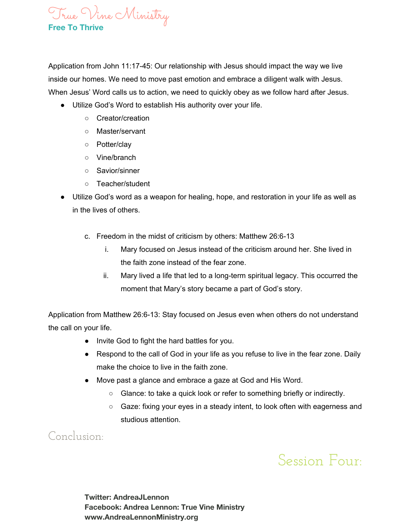

Application from John 11:17-45: Our relationship with Jesus should impact the way we live inside our homes. We need to move past emotion and embrace a diligent walk with Jesus. When Jesus' Word calls us to action, we need to quickly obey as we follow hard after Jesus.

- Utilize God's Word to establish His authority over your life.
	- Creator/creation
	- Master/servant
	- Potter/clay
	- Vine/branch
	- Savior/sinner
	- Teacher/student
- Utilize God's word as a weapon for healing, hope, and restoration in your life as well as in the lives of others.
	- c. Freedom in the midst of criticism by others: Matthew 26:6-13
		- i. Mary focused on Jesus instead of the criticism around her. She lived in the faith zone instead of the fear zone.
		- ii. Mary lived a life that led to a long-term spiritual legacy. This occurred the moment that Mary's story became a part of God's story.

Application from Matthew 26:6-13: Stay focused on Jesus even when others do not understand the call on your life.

- Invite God to fight the hard battles for you.
- Respond to the call of God in your life as you refuse to live in the fear zone. Daily make the choice to live in the faith zone.
- Move past a glance and embrace a gaze at God and His Word.
	- Glance: to take a quick look or refer to something briefly or indirectly.
	- Gaze: fixing your eyes in a steady intent, to look often with eagerness and studious attention.

Conclusion:

Session Four: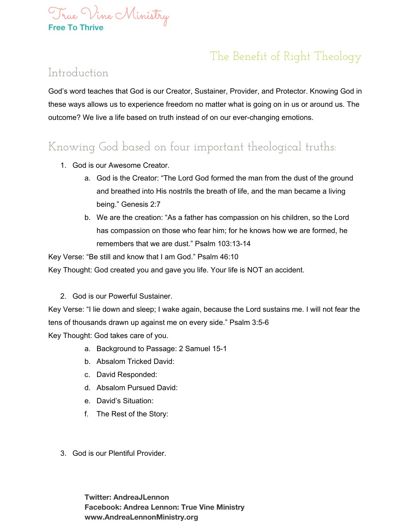

### The Benefit of Right Theology

#### Introduction

God's word teaches that God is our Creator, Sustainer, Provider, and Protector. Knowing God in these ways allows us to experience freedom no matter what is going on in us or around us. The outcome? We live a life based on truth instead of on our ever-changing emotions.

### Knowing God based on four important theological truths:

- 1. God is our Awesome Creator.
	- a. God is the Creator: "The Lord God formed the man from the dust of the ground and breathed into His nostrils the breath of life, and the man became a living being." Genesis 2:7
	- b. We are the creation: "As a father has compassion on his children, so the Lord has compassion on those who fear him; for he knows how we are formed, he remembers that we are dust." Psalm 103:13-14

Key Verse: "Be still and know that I am God." Psalm 46:10

Key Thought: God created you and gave you life. Your life is NOT an accident.

2. God is our Powerful Sustainer.

Key Verse: "I lie down and sleep; I wake again, because the Lord sustains me. I will not fear the tens of thousands drawn up against me on every side." Psalm 3:5-6

Key Thought: God takes care of you.

- a. Background to Passage: 2 Samuel 15-1
- b. Absalom Tricked David:
- c. David Responded:
- d. Absalom Pursued David:
- e. David's Situation:
- f. The Rest of the Story:
- 3. God is our Plentiful Provider.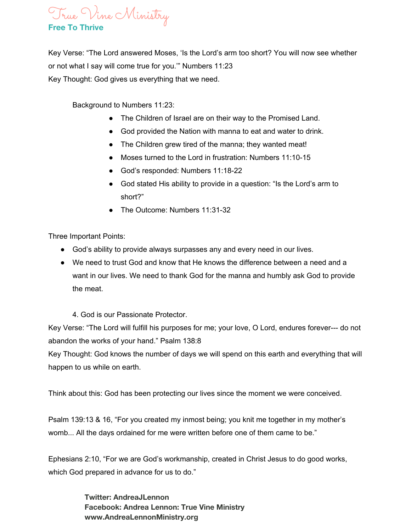#### True Vine Ministry **Free To Thrive**

Key Verse: "The Lord answered Moses, 'Is the Lord's arm too short? You will now see whether or not what I say will come true for you.'" Numbers 11:23 Key Thought: God gives us everything that we need.

Background to Numbers 11:23:

- The Children of Israel are on their way to the Promised Land.
- God provided the Nation with manna to eat and water to drink.
- The Children grew tired of the manna; they wanted meat!
- Moses turned to the Lord in frustration: Numbers 11:10-15
- God's responded: Numbers 11:18-22
- God stated His ability to provide in a question: "Is the Lord's arm to short?"
- The Outcome: Numbers 11:31-32

Three Important Points:

- God's ability to provide always surpasses any and every need in our lives.
- We need to trust God and know that He knows the difference between a need and a want in our lives. We need to thank God for the manna and humbly ask God to provide the meat.
	- 4. God is our Passionate Protector.

Key Verse: "The Lord will fulfill his purposes for me; your love, O Lord, endures forever--- do not abandon the works of your hand." Psalm 138:8

Key Thought: God knows the number of days we will spend on this earth and everything that will happen to us while on earth.

Think about this: God has been protecting our lives since the moment we were conceived.

Psalm 139:13 & 16, "For you created my inmost being; you knit me together in my mother's womb... All the days ordained for me were written before one of them came to be."

Ephesians 2:10, "For we are God's workmanship, created in Christ Jesus to do good works, which God prepared in advance for us to do."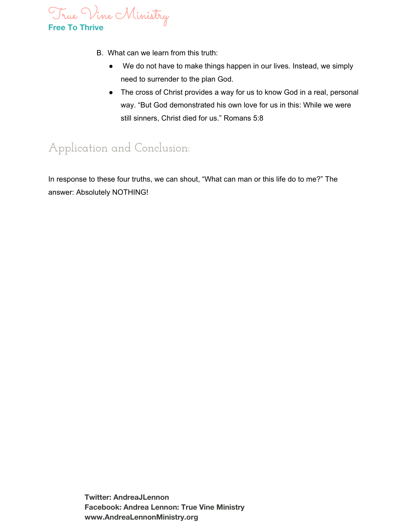

- B. What can we learn from this truth:
	- We do not have to make things happen in our lives. Instead, we simply need to surrender to the plan God.
	- The cross of Christ provides a way for us to know God in a real, personal way. "But God demonstrated his own love for us in this: While we were still sinners, Christ died for us." Romans 5:8

### Application and Conclusion:

In response to these four truths, we can shout, "What can man or this life do to me?" The answer: Absolutely NOTHING!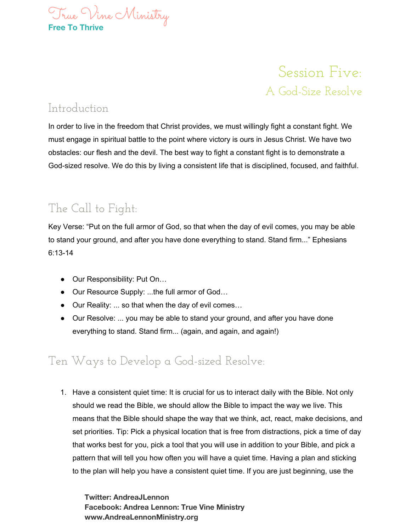

## Session Five: A God-Size Resolve

#### Introduction

In order to live in the freedom that Christ provides, we must willingly fight a constant fight. We must engage in spiritual battle to the point where victory is ours in Jesus Christ. We have two obstacles: our flesh and the devil. The best way to fight a constant fight is to demonstrate a God-sized resolve. We do this by living a consistent life that is disciplined, focused, and faithful.

### The Call to Fight:

Key Verse: "Put on the full armor of God, so that when the day of evil comes, you may be able to stand your ground, and after you have done everything to stand. Stand firm..." Ephesians 6:13-14

- Our Responsibility: Put On...
- Our Resource Supply: ...the full armor of God...
- Our Reality: ... so that when the day of evil comes…
- Our Resolve: ... you may be able to stand your ground, and after you have done everything to stand. Stand firm... (again, and again, and again!)

#### Ten Ways to Develop a God-sized Resolve:

1. Have a consistent quiet time: It is crucial for us to interact daily with the Bible. Not only should we read the Bible, we should allow the Bible to impact the way we live. This means that the Bible should shape the way that we think, act, react, make decisions, and set priorities. Tip: Pick a physical location that is free from distractions, pick a time of day that works best for you, pick a tool that you will use in addition to your Bible, and pick a pattern that will tell you how often you will have a quiet time. Having a plan and sticking to the plan will help you have a consistent quiet time. If you are just beginning, use the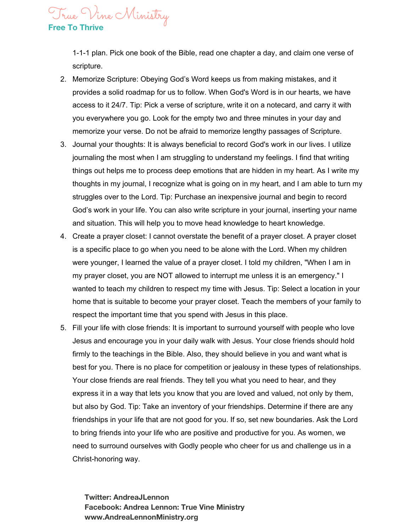1-1-1 plan. Pick one book of the Bible, read one chapter a day, and claim one verse of scripture.

True Vine Ministry

**Free To Thrive**

- 2. Memorize Scripture: Obeying God's Word keeps us from making mistakes, and it provides a solid roadmap for us to follow. When God's Word is in our hearts, we have access to it 24/7. Tip: Pick a verse of scripture, write it on a notecard, and carry it with you everywhere you go. Look for the empty two and three minutes in your day and memorize your verse. Do not be afraid to memorize lengthy passages of Scripture.
- 3. Journal your thoughts: It is always beneficial to record God's work in our lives. I utilize journaling the most when I am struggling to understand my feelings. I find that writing things out helps me to process deep emotions that are hidden in my heart. As I write my thoughts in my journal, I recognize what is going on in my heart, and I am able to turn my struggles over to the Lord. Tip: Purchase an inexpensive journal and begin to record God's work in your life. You can also write scripture in your journal, inserting your name and situation. This will help you to move head knowledge to heart knowledge.
- 4. Create a prayer closet: I cannot overstate the benefit of a prayer closet. A prayer closet is a specific place to go when you need to be alone with the Lord. When my children were younger, I learned the value of a prayer closet. I told my children, "When I am in my prayer closet, you are NOT allowed to interrupt me unless it is an emergency." I wanted to teach my children to respect my time with Jesus. Tip: Select a location in your home that is suitable to become your prayer closet. Teach the members of your family to respect the important time that you spend with Jesus in this place.
- 5. Fill your life with close friends: It is important to surround yourself with people who love Jesus and encourage you in your daily walk with Jesus. Your close friends should hold firmly to the teachings in the Bible. Also, they should believe in you and want what is best for you. There is no place for competition or jealousy in these types of relationships. Your close friends are real friends. They tell you what you need to hear, and they express it in a way that lets you know that you are loved and valued, not only by them, but also by God. Tip: Take an inventory of your friendships. Determine if there are any friendships in your life that are not good for you. If so, set new boundaries. Ask the Lord to bring friends into your life who are positive and productive for you. As women, we need to surround ourselves with Godly people who cheer for us and challenge us in a Christ-honoring way.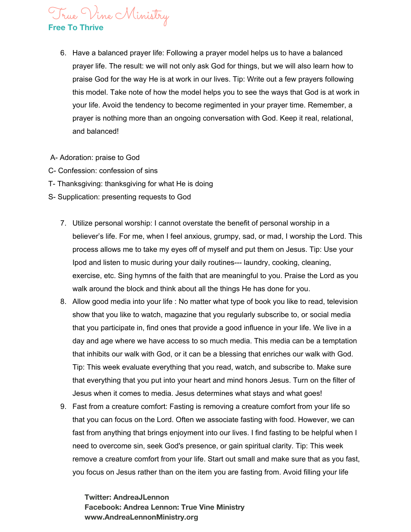# True Vine Ministry

#### **Free To Thrive**

- 6. Have a balanced prayer life: Following a prayer model helps us to have a balanced prayer life. The result: we will not only ask God for things, but we will also learn how to praise God for the way He is at work in our lives. Tip: Write out a few prayers following this model. Take note of how the model helps you to see the ways that God is at work in your life. Avoid the tendency to become regimented in your prayer time. Remember, a prayer is nothing more than an ongoing conversation with God. Keep it real, relational, and balanced!
- A- Adoration: praise to God
- C- Confession: confession of sins
- T- Thanksgiving: thanksgiving for what He is doing
- S- Supplication: presenting requests to God
	- 7. Utilize personal worship: I cannot overstate the benefit of personal worship in a believer's life. For me, when I feel anxious, grumpy, sad, or mad, I worship the Lord. This process allows me to take my eyes off of myself and put them on Jesus. Tip: Use your Ipod and listen to music during your daily routines--- laundry, cooking, cleaning, exercise, etc. Sing hymns of the faith that are meaningful to you. Praise the Lord as you walk around the block and think about all the things He has done for you.
	- 8. Allow good media into your life : No matter what type of book you like to read, television show that you like to watch, magazine that you regularly subscribe to, or social media that you participate in, find ones that provide a good influence in your life. We live in a day and age where we have access to so much media. This media can be a temptation that inhibits our walk with God, or it can be a blessing that enriches our walk with God. Tip: This week evaluate everything that you read, watch, and subscribe to. Make sure that everything that you put into your heart and mind honors Jesus. Turn on the filter of Jesus when it comes to media. Jesus determines what stays and what goes!
	- 9. Fast from a creature comfort: Fasting is removing a creature comfort from your life so that you can focus on the Lord. Often we associate fasting with food. However, we can fast from anything that brings enjoyment into our lives. I find fasting to be helpful when I need to overcome sin, seek God's presence, or gain spiritual clarity. Tip: This week remove a creature comfort from your life. Start out small and make sure that as you fast, you focus on Jesus rather than on the item you are fasting from. Avoid filling your life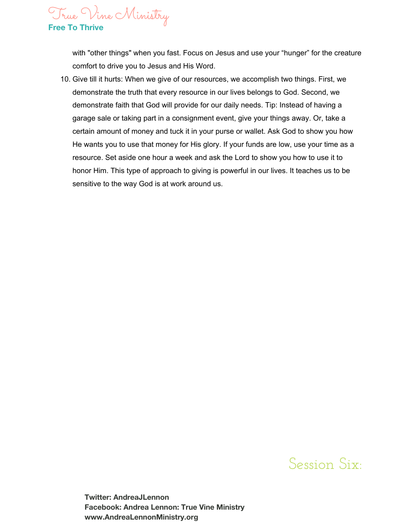True Vine Ministry **Free To Thrive**

with "other things" when you fast. Focus on Jesus and use your "hunger" for the creature comfort to drive you to Jesus and His Word.

10. Give till it hurts: When we give of our resources, we accomplish two things. First, we demonstrate the truth that every resource in our lives belongs to God. Second, we demonstrate faith that God will provide for our daily needs. Tip: Instead of having a garage sale or taking part in a consignment event, give your things away. Or, take a certain amount of money and tuck it in your purse or wallet. Ask God to show you how He wants you to use that money for His glory. If your funds are low, use your time as a resource. Set aside one hour a week and ask the Lord to show you how to use it to honor Him. This type of approach to giving is powerful in our lives. It teaches us to be sensitive to the way God is at work around us.

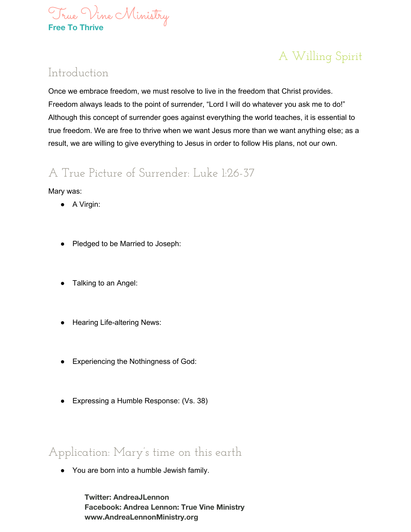

### A Willing Spirit

#### Introduction

Once we embrace freedom, we must resolve to live in the freedom that Christ provides. Freedom always leads to the point of surrender, "Lord I will do whatever you ask me to do!" Although this concept of surrender goes against everything the world teaches, it is essential to true freedom. We are free to thrive when we want Jesus more than we want anything else; as a result, we are willing to give everything to Jesus in order to follow His plans, not our own.

### A True Picture of Surrender: Luke 1:26-37

Mary was:

- A Virgin:
- Pledged to be Married to Joseph:
- Talking to an Angel:
- Hearing Life-altering News:
- Experiencing the Nothingness of God:
- Expressing a Humble Response: (Vs. 38)

Application: Mary's time on this earth

● You are born into a humble Jewish family.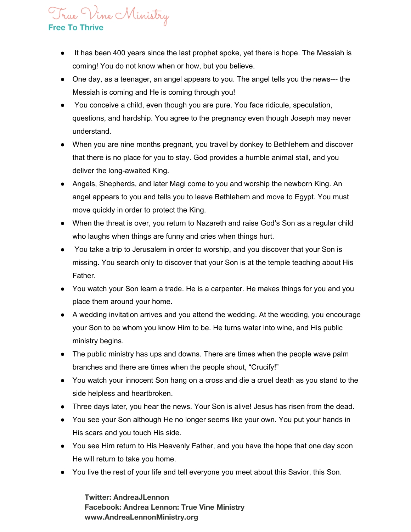#### True Vine Ministry **Free To Thrive**

- It has been 400 years since the last prophet spoke, yet there is hope. The Messiah is coming! You do not know when or how, but you believe.
- One day, as a teenager, an angel appears to you. The angel tells you the news--- the Messiah is coming and He is coming through you!
- You conceive a child, even though you are pure. You face ridicule, speculation, questions, and hardship. You agree to the pregnancy even though Joseph may never understand.
- When you are nine months pregnant, you travel by donkey to Bethlehem and discover that there is no place for you to stay. God provides a humble animal stall, and you deliver the long-awaited King.
- Angels, Shepherds, and later Magi come to you and worship the newborn King. An angel appears to you and tells you to leave Bethlehem and move to Egypt. You must move quickly in order to protect the King.
- When the threat is over, you return to Nazareth and raise God's Son as a regular child who laughs when things are funny and cries when things hurt.
- You take a trip to Jerusalem in order to worship, and you discover that your Son is missing. You search only to discover that your Son is at the temple teaching about His Father.
- You watch your Son learn a trade. He is a carpenter. He makes things for you and you place them around your home.
- A wedding invitation arrives and you attend the wedding. At the wedding, you encourage your Son to be whom you know Him to be. He turns water into wine, and His public ministry begins.
- The public ministry has ups and downs. There are times when the people wave palm branches and there are times when the people shout, "Crucify!"
- You watch your innocent Son hang on a cross and die a cruel death as you stand to the side helpless and heartbroken.
- Three days later, you hear the news. Your Son is alive! Jesus has risen from the dead.
- You see your Son although He no longer seems like your own. You put your hands in His scars and you touch His side.
- You see Him return to His Heavenly Father, and you have the hope that one day soon He will return to take you home.
- You live the rest of your life and tell everyone you meet about this Savior, this Son.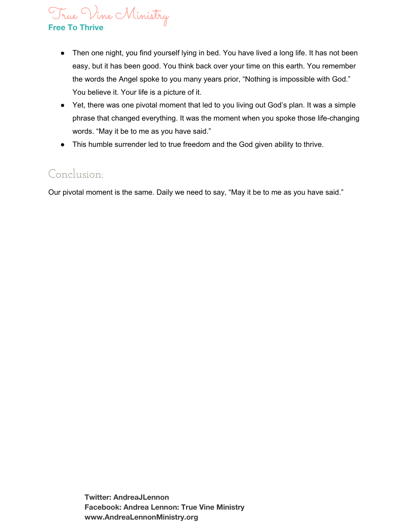# True Vine Ministry

#### **Free To Thrive**

- Then one night, you find yourself lying in bed. You have lived a long life. It has not been easy, but it has been good. You think back over your time on this earth. You remember the words the Angel spoke to you many years prior, "Nothing is impossible with God." You believe it. Your life is a picture of it.
- Yet, there was one pivotal moment that led to you living out God's plan. It was a simple phrase that changed everything. It was the moment when you spoke those life-changing words. "May it be to me as you have said."
- This humble surrender led to true freedom and the God given ability to thrive.

#### Conclusion:

Our pivotal moment is the same. Daily we need to say, "May it be to me as you have said."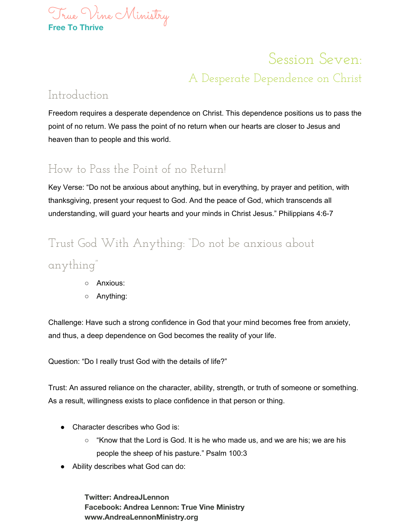

# Session Seven: A Desperate Dependence on Christ

#### Introduction

Freedom requires a desperate dependence on Christ. This dependence positions us to pass the point of no return. We pass the point of no return when our hearts are closer to Jesus and heaven than to people and this world.

### How to Pass the Point of no Return!

Key Verse: "Do not be anxious about anything, but in everything, by prayer and petition, with thanksgiving, present your request to God. And the peace of God, which transcends all understanding, will guard your hearts and your minds in Christ Jesus." Philippians 4:6-7

# Trust God With Anything: "Do not be anxious about

anything"

- Anxious:
- Anything:

Challenge: Have such a strong confidence in God that your mind becomes free from anxiety, and thus, a deep dependence on God becomes the reality of your life.

Question: "Do I really trust God with the details of life?"

Trust: An assured reliance on the character, ability, strength, or truth of someone or something. As a result, willingness exists to place confidence in that person or thing.

- Character describes who God is:
	- $\circ$  "Know that the Lord is God. It is he who made us, and we are his; we are his people the sheep of his pasture." Psalm 100:3
- Ability describes what God can do: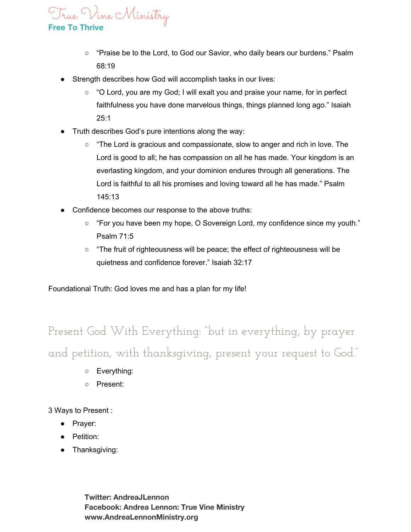True Vine Ministry

**Free To Thrive**

- "Praise be to the Lord, to God our Savior, who daily bears our burdens." Psalm 68:19
- Strength describes how God will accomplish tasks in our lives:
	- "O Lord, you are my God; I will exalt you and praise your name, for in perfect faithfulness you have done marvelous things, things planned long ago." Isaiah 25:1
- Truth describes God's pure intentions along the way:
	- $\circ$  "The Lord is gracious and compassionate, slow to anger and rich in love. The Lord is good to all; he has compassion on all he has made. Your kingdom is an everlasting kingdom, and your dominion endures through all generations. The Lord is faithful to all his promises and loving toward all he has made." Psalm 145:13
- Confidence becomes our response to the above truths:
	- "For you have been my hope, O Sovereign Lord, my confidence since my youth." Psalm 71:5
	- "The fruit of righteousness will be peace; the effect of righteousness will be quietness and confidence forever." Isaiah 32:17

Foundational Truth: God loves me and has a plan for my life!

Present God With Everything: "but in everything, by prayer and petition, with thanksgiving, present your request to God."

- Everything:
- Present:

3 Ways to Present :

- Prayer:
- Petition:
- Thanksgiving: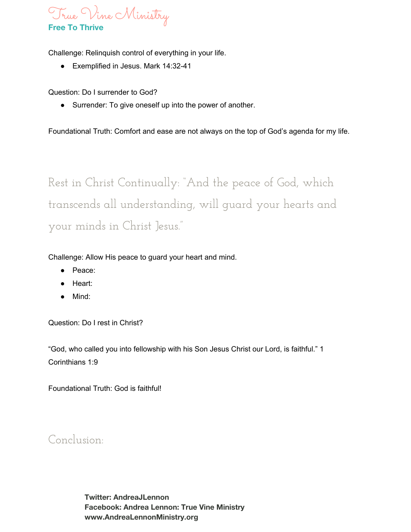

Challenge: Relinquish control of everything in your life.

● Exemplified in Jesus. Mark 14:32-41

Question: Do I surrender to God?

● Surrender: To give oneself up into the power of another.

Foundational Truth: Comfort and ease are not always on the top of God's agenda for my life.

Rest in Christ Continually: "And the peace of God, which transcends all understanding, will guard your hearts and your minds in Christ Jesus."

Challenge: Allow His peace to guard your heart and mind.

- Peace:
- Heart:
- Mind:

Question: Do I rest in Christ?

"God, who called you into fellowship with his Son Jesus Christ our Lord, is faithful." 1 Corinthians 1:9

Foundational Truth: God is faithful!

Conclusion: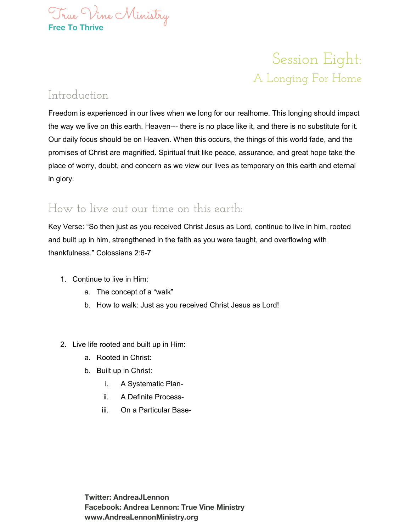

# Session Eight: A Longing For Home

#### Introduction

Freedom is experienced in our lives when we long for our realhome. This longing should impact the way we live on this earth. Heaven--- there is no place like it, and there is no substitute for it. Our daily focus should be on Heaven. When this occurs, the things of this world fade, and the promises of Christ are magnified. Spiritual fruit like peace, assurance, and great hope take the place of worry, doubt, and concern as we view our lives as temporary on this earth and eternal in glory.

#### How to live out our time on this earth:

Key Verse: "So then just as you received Christ Jesus as Lord, continue to live in him, rooted and built up in him, strengthened in the faith as you were taught, and overflowing with thankfulness." Colossians 2:6-7

- 1. Continue to live in Him:
	- a. The concept of a "walk"
	- b. How to walk: Just as you received Christ Jesus as Lord!
- 2. Live life rooted and built up in Him:
	- a. Rooted in Christ:
	- b. Built up in Christ:
		- i. A Systematic Plan-
		- ii. A Definite Process-
		- iii. On a Particular Base-